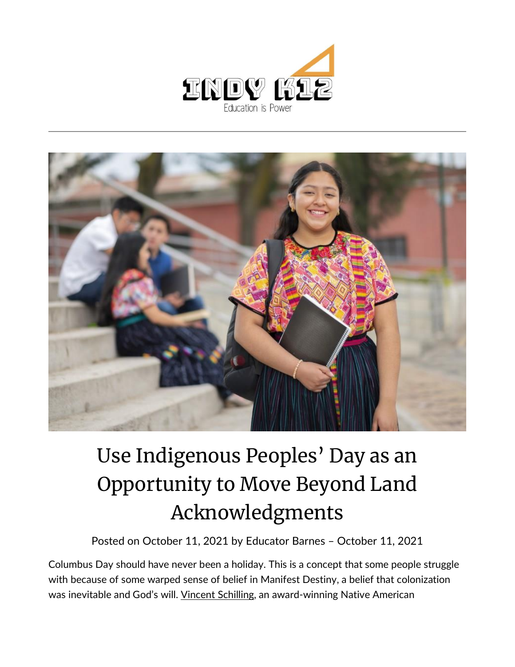



## Use Indigenous Peoples' Day as an Opportunity to Move Beyond Land Acknowledgments

Posted on [October 11, 2021](https://indy.education/2021/10/11/use-indigenous-peoples-day-as-an-opportunity-to-move-beyond-land-acknowledgements/) by [Educator Barnes](https://indy.education/author/shicole/) – October 11, 2021

Columbus Day should have never been a holiday. This is a concept that some people struggle with because of some warped sense of belief in Manifest Destiny, a belief that colonization was inevitable and God's will. [Vincent Schilling,](http://www.vincentschilling.com/) an award-winning Native American